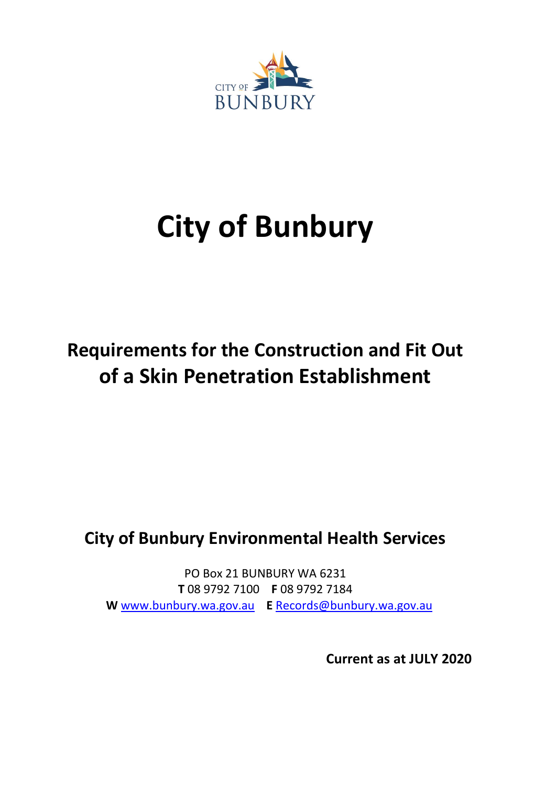

# **City of Bunbury**

# **Requirements for the Construction and Fit Out of a Skin Penetration Establishment**

# **City of Bunbury Environmental Health Services**

PO Box 21 BUNBURY WA 6231 **T** 08 9792 7100 **F** 08 9792 7184  **W** www.bunbury.wa.gov.au **E** [Records@bunbury.wa.gov.au](mailto:Records@bunbury.wa.gov.au)

**Current as at JULY 2020**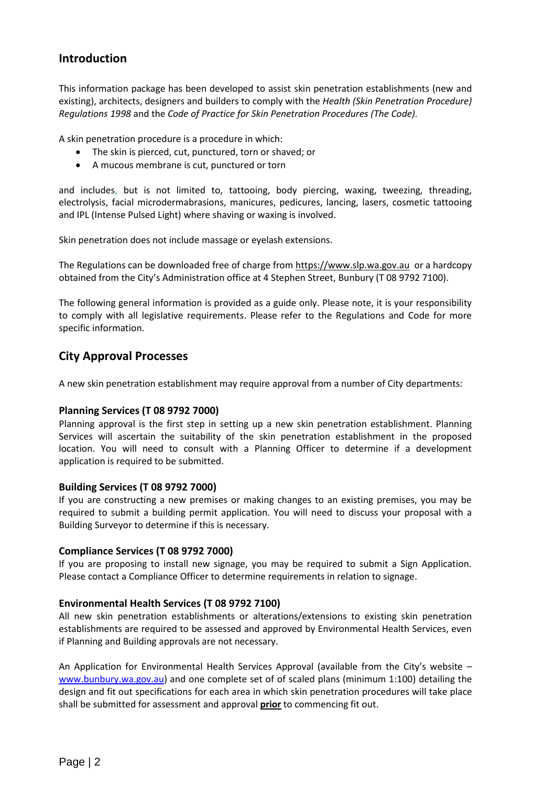# **Introduction**

This information package has been developed to assist skin penetration establishments (new and existing), architects, designers and builders to comply with the *Health (Skin Penetration Procedure) Regulations 1998* and the *Code of Practice for Skin Penetration Procedures (The Code).*

A skin penetration procedure is a procedure in which:

- The skin is pierced, cut, punctured, torn or shaved; or
- A mucous membrane is cut, punctured or torn

and includes, but is not limited to, tattooing, body piercing, waxing, tweezing, threading, electrolysis, facial microdermabrasions, manicures, pedicures, lancing, lasers, cosmetic tattooing and IPL (Intense Pulsed Light) where shaving or waxing is involved.

Skin penetration does not include massage or eyelash extensions.

The Regulations can be downloaded free of charge fro[m https://www.slp.wa.gov.au](https://www.slp.wa.gov.au/) or a hardcopy obtained from the City's Administration office at 4 Stephen Street, Bunbury (T 08 9792 7100).

The following general information is provided as a guide only. Please note, it is your responsibility to comply with all legislative requirements. Please refer to the Regulations and Code for more specific information.

# **City Approval Processes**

A new skin penetration establishment may require approval from a number of City departments:

#### **Planning Services (T 08 9792 7000)**

Planning approval is the first step in setting up a new skin penetration establishment. Planning Services will ascertain the suitability of the skin penetration establishment in the proposed location. You will need to consult with a Planning Officer to determine if a development application is required to be submitted.

#### **Building Services (T 08 9792 7000)**

If you are constructing a new premises or making changes to an existing premises, you may be required to submit a building permit application. You will need to discuss your proposal with a Building Surveyor to determine if this is necessary.

#### **Compliance Services (T 08 9792 7000)**

If you are proposing to install new signage, you may be required to submit a Sign Application. Please contact a Compliance Officer to determine requirements in relation to signage.

#### **Environmental Health Services (T 08 9792 7100)**

All new skin penetration establishments or alterations/extensions to existing skin penetration establishments are required to be assessed and approved by Environmental Health Services, even if Planning and Building approvals are not necessary.

An Application for Environmental Health Services Approval (available from the City's website – [www.bunbury.wa.gov.au\)](http://www.bunbury.wa.gov.au/) and one complete set of of scaled plans (minimum 1:100) detailing the design and fit out specifications for each area in which skin penetration procedures will take place shall be submitted for assessment and approval **prior** to commencing fit out.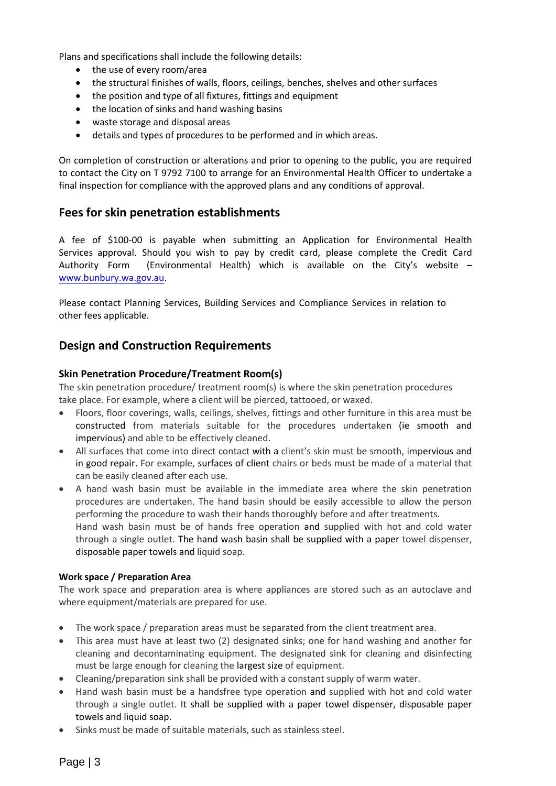Plans and specifications shall include the following details:

- the use of every room/area
- the structural finishes of walls, floors, ceilings, benches, shelves and other surfaces
- the position and type of all fixtures, fittings and equipment
- the location of sinks and hand washing basins
- waste storage and disposal areas
- details and types of procedures to be performed and in which areas.

On completion of construction or alterations and prior to opening to the public, you are required to contact the City on T 9792 7100 to arrange for an Environmental Health Officer to undertake a final inspection for compliance with the approved plans and any conditions of approval.

### **Fees for skin penetration establishments**

A fee of \$100-00 is payable when submitting an Application for Environmental Health Services approval. Should you wish to pay by credit card, please complete the Credit Card Authority Form (Environmental Health) which is available on the City's website – [www.bunbury.wa.gov.au.](http://www.bunbury.wa.gov.au/) 

Please contact Planning Services, Building Services and Compliance Services in relation to other fees applicable.

# **Design and Construction Requirements**

#### **Skin Penetration Procedure/Treatment Room(s)**

The skin penetration procedure/ treatment room(s) is where the skin penetration procedures take place. For example, where a client will be pierced, tattooed, or waxed.

- Floors, floor coverings, walls, ceilings, shelves, fittings and other furniture in this area must be constructed from materials suitable for the procedures undertaken (ie smooth and impervious) and able to be effectively cleaned.
- All surfaces that come into direct contact with a client's skin must be smooth, impervious and in good repair. For example, surfaces of client chairs or beds must be made of a material that can be easily cleaned after each use.
- A hand wash basin must be available in the immediate area where the skin penetration procedures are undertaken. The hand basin should be easily accessible to allow the person performing the procedure to wash their hands thoroughly before and after treatments. Hand wash basin must be of hands free operation and supplied with hot and cold water through a single outlet. The hand wash basin shall be supplied with a paper towel dispenser, disposable paper towels and liquid soap.

#### **Work space / Preparation Area**

The work space and preparation area is where appliances are stored such as an autoclave and where equipment/materials are prepared for use.

- The work space / preparation areas must be separated from the client treatment area.
- This area must have at least two (2) designated sinks; one for hand washing and another for cleaning and decontaminating equipment. The designated sink for cleaning and disinfecting must be large enough for cleaning the largest size of equipment.
- Cleaning/preparation sink shall be provided with a constant supply of warm water.
- Hand wash basin must be a handsfree type operation and supplied with hot and cold water through a single outlet. It shall be supplied with a paper towel dispenser, disposable paper towels and liquid soap.
- Sinks must be made of suitable materials, such as stainless steel.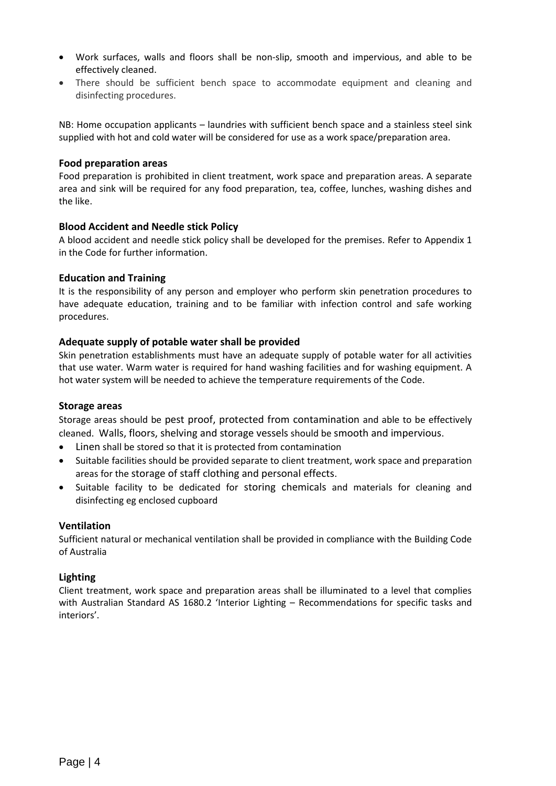- Work surfaces, walls and floors shall be non-slip, smooth and impervious, and able to be effectively cleaned.
- There should be sufficient bench space to accommodate equipment and cleaning and disinfecting procedures.

NB: Home occupation applicants – laundries with sufficient bench space and a stainless steel sink supplied with hot and cold water will be considered for use as a work space/preparation area.

#### **Food preparation areas**

Food preparation is prohibited in client treatment, work space and preparation areas. A separate area and sink will be required for any food preparation, tea, coffee, lunches, washing dishes and the like.

#### **Blood Accident and Needle stick Policy**

A blood accident and needle stick policy shall be developed for the premises. Refer to Appendix 1 in the Code for further information.

#### **Education and Training**

It is the responsibility of any person and employer who perform skin penetration procedures to have adequate education, training and to be familiar with infection control and safe working procedures.

#### **Adequate supply of potable water shall be provided**

Skin penetration establishments must have an adequate supply of potable water for all activities that use water. Warm water is required for hand washing facilities and for washing equipment. A hot water system will be needed to achieve the temperature requirements of the Code.

#### **Storage areas**

Storage areas should be pest proof, protected from contamination and able to be effectively cleaned. Walls, floors, shelving and storage vessels should be smooth and impervious.

- Linen shall be stored so that it is protected from contamination
- Suitable facilities should be provided separate to client treatment, work space and preparation areas for the storage of staff clothing and personal effects.
- Suitable facility to be dedicated for storing chemicals and materials for cleaning and disinfecting eg enclosed cupboard

#### **Ventilation**

Sufficient natural or mechanical ventilation shall be provided in compliance with the Building Code of Australia

#### **Lighting**

Client treatment, work space and preparation areas shall be illuminated to a level that complies with Australian Standard AS 1680.2 'Interior Lighting – Recommendations for specific tasks and interiors'.